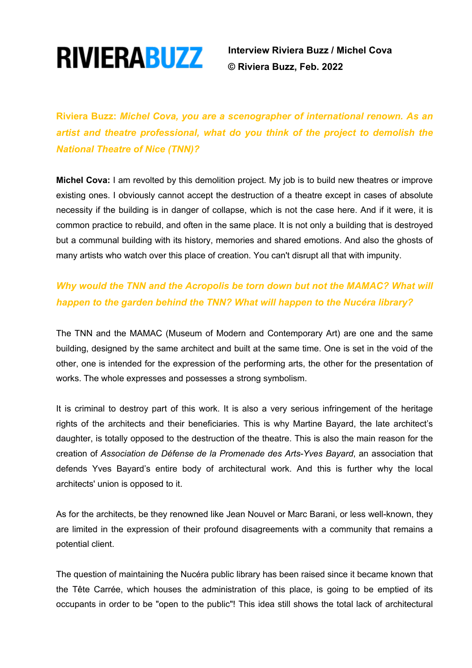

 **Interview Riviera Buzz / Michel Cova © Riviera Buzz, Feb. 2022**

**Riviera Buzz:** *Michel Cova, you are a scenographer of international renown. As an artist and theatre professional, what do you think of the project to demolish the National Theatre of Nice (TNN)?*

**Michel Cova:** I am revolted by this demolition project. My job is to build new theatres or improve existing ones. I obviously cannot accept the destruction of a theatre except in cases of absolute necessity if the building is in danger of collapse, which is not the case here. And if it were, it is common practice to rebuild, and often in the same place. It is not only a building that is destroyed but a communal building with its history, memories and shared emotions. And also the ghosts of many artists who watch over this place of creation. You can't disrupt all that with impunity.

## *Why would the TNN and the Acropolis be torn down but not the MAMAC? What will happen to the garden behind the TNN? What will happen to the Nucéra library?*

The TNN and the MAMAC (Museum of Modern and Contemporary Art) are one and the same building, designed by the same architect and built at the same time. One is set in the void of the other, one is intended for the expression of the performing arts, the other for the presentation of works. The whole expresses and possesses a strong symbolism.

It is criminal to destroy part of this work. It is also a very serious infringement of the heritage rights of the architects and their beneficiaries. This is why Martine Bayard, the late architect's daughter, is totally opposed to the destruction of the theatre. This is also the main reason for the creation of *Association de Défense de la Promenade des Arts-Yves Bayard*, an association that defends Yves Bayard's entire body of architectural work. And this is further why the local architects' union is opposed to it.

As for the architects, be they renowned like Jean Nouvel or Marc Barani, or less well-known, they are limited in the expression of their profound disagreements with a community that remains a potential client.

The question of maintaining the Nucéra public library has been raised since it became known that the Tête Carrée, which houses the administration of this place, is going to be emptied of its occupants in order to be "open to the public"! This idea still shows the total lack of architectural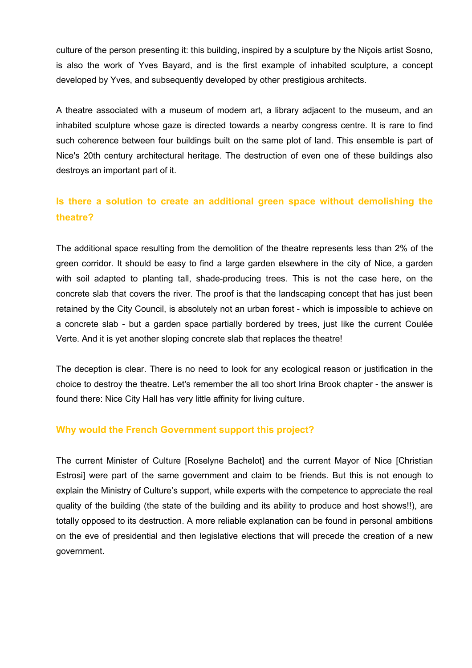culture of the person presenting it: this building, inspired by a sculpture by the Niçois artist Sosno, is also the work of Yves Bayard, and is the first example of inhabited sculpture, a concept developed by Yves, and subsequently developed by other prestigious architects.

A theatre associated with a museum of modern art, a library adjacent to the museum, and an inhabited sculpture whose gaze is directed towards a nearby congress centre. It is rare to find such coherence between four buildings built on the same plot of land. This ensemble is part of Nice's 20th century architectural heritage. The destruction of even one of these buildings also destroys an important part of it.

### **Is there a solution to create an additional green space without demolishing the theatre?**

The additional space resulting from the demolition of the theatre represents less than 2% of the green corridor. It should be easy to find a large garden elsewhere in the city of Nice, a garden with soil adapted to planting tall, shade-producing trees. This is not the case here, on the concrete slab that covers the river. The proof is that the landscaping concept that has just been retained by the City Council, is absolutely not an urban forest - which is impossible to achieve on a concrete slab - but a garden space partially bordered by trees, just like the current Coulée Verte. And it is yet another sloping concrete slab that replaces the theatre!

The deception is clear. There is no need to look for any ecological reason or justification in the choice to destroy the theatre. Let's remember the all too short Irina Brook chapter - the answer is found there: Nice City Hall has very little affinity for living culture.

#### **Why would the French Government support this project?**

The current Minister of Culture [Roselyne Bachelot] and the current Mayor of Nice [Christian Estrosi] were part of the same government and claim to be friends. But this is not enough to explain the Ministry of Culture's support, while experts with the competence to appreciate the real quality of the building (the state of the building and its ability to produce and host shows!!), are totally opposed to its destruction. A more reliable explanation can be found in personal ambitions on the eve of presidential and then legislative elections that will precede the creation of a new government.